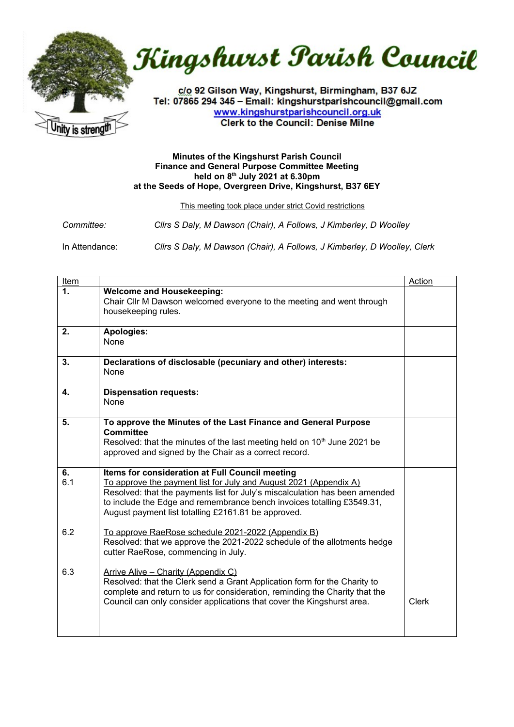



c/o 92 Gilson Way, Kingshurst, Birmingham, B37 6JZ Tel: 07865 294 345 - Email: kingshurstparishcouncil@gmail.com www.kingshurstparishcouncil.org.uk **Clerk to the Council: Denise Milne** 

## **Minutes of the Kingshurst Parish Council Finance and General Purpose Committee Meeting held on 8 th July 2021 at 6.30pm at the Seeds of Hope, Overgreen Drive, Kingshurst, B37 6EY**

This meeting took place under strict Covid restrictions

| Committee:     | Clirs S Daly, M Dawson (Chair), A Follows, J Kimberley, D Woolley        |
|----------------|--------------------------------------------------------------------------|
| In Attendance: | Clirs S Daly, M Dawson (Chair), A Follows, J Kimberley, D Woolley, Clerk |

| <b>Item</b>  |                                                                                                                                                                                                                                                                                                                                      | <b>Action</b> |
|--------------|--------------------------------------------------------------------------------------------------------------------------------------------------------------------------------------------------------------------------------------------------------------------------------------------------------------------------------------|---------------|
| 1.           | <b>Welcome and Housekeeping:</b><br>Chair Cllr M Dawson welcomed everyone to the meeting and went through<br>housekeeping rules.                                                                                                                                                                                                     |               |
| 2.           | <b>Apologies:</b><br>None                                                                                                                                                                                                                                                                                                            |               |
| 3.           | Declarations of disclosable (pecuniary and other) interests:<br>None                                                                                                                                                                                                                                                                 |               |
| $\mathbf{4}$ | <b>Dispensation requests:</b><br>None                                                                                                                                                                                                                                                                                                |               |
| 5.           | To approve the Minutes of the Last Finance and General Purpose<br><b>Committee</b><br>Resolved: that the minutes of the last meeting held on 10 <sup>th</sup> June 2021 be<br>approved and signed by the Chair as a correct record.                                                                                                  |               |
| 6.<br>6.1    | Items for consideration at Full Council meeting<br>To approve the payment list for July and August 2021 (Appendix A)<br>Resolved: that the payments list for July's miscalculation has been amended<br>to include the Edge and remembrance bench invoices totalling £3549.31,<br>August payment list totalling £2161.81 be approved. |               |
| 6.2          | To approve RaeRose schedule 2021-2022 (Appendix B)<br>Resolved: that we approve the 2021-2022 schedule of the allotments hedge<br>cutter RaeRose, commencing in July.                                                                                                                                                                |               |
| 6.3          | Arrive Alive - Charity (Appendix C)<br>Resolved: that the Clerk send a Grant Application form for the Charity to<br>complete and return to us for consideration, reminding the Charity that the<br>Council can only consider applications that cover the Kingshurst area.                                                            | <b>Clerk</b>  |